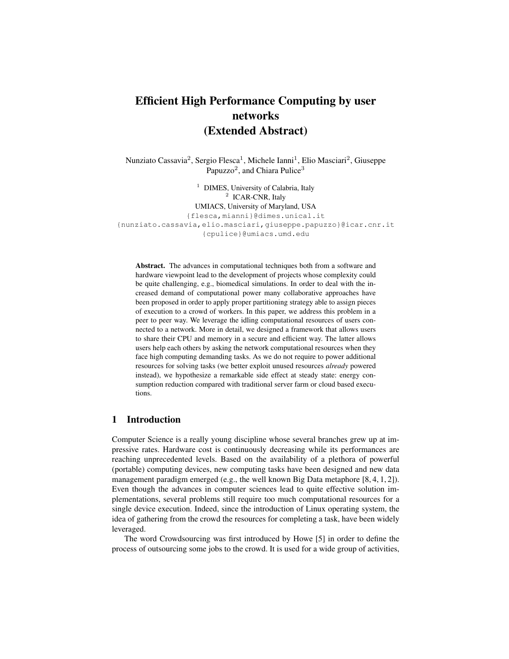# Efficient High Performance Computing by user networks (Extended Abstract)

Nunziato Cassavia<sup>2</sup>, Sergio Flesca<sup>1</sup>, Michele Ianni<sup>1</sup>, Elio Masciari<sup>2</sup>, Giuseppe Papuzzo<sup>2</sup>, and Chiara Pulice<sup>3</sup>

<sup>1</sup> DIMES, University of Calabria, Italy <sup>2</sup> ICAR-CNR, Italy UMIACS, University of Maryland, USA {flesca,mianni}@dimes.unical.it {nunziato.cassavia,elio.masciari,giuseppe.papuzzo}@icar.cnr.it {cpulice}@umiacs.umd.edu

Abstract. The advances in computational techniques both from a software and hardware viewpoint lead to the development of projects whose complexity could be quite challenging, e.g., biomedical simulations. In order to deal with the increased demand of computational power many collaborative approaches have been proposed in order to apply proper partitioning strategy able to assign pieces of execution to a crowd of workers. In this paper, we address this problem in a peer to peer way. We leverage the idling computational resources of users connected to a network. More in detail, we designed a framework that allows users to share their CPU and memory in a secure and efficient way. The latter allows users help each others by asking the network computational resources when they face high computing demanding tasks. As we do not require to power additional resources for solving tasks (we better exploit unused resources *already* powered instead), we hypothesize a remarkable side effect at steady state: energy consumption reduction compared with traditional server farm or cloud based executions.

## 1 Introduction

Computer Science is a really young discipline whose several branches grew up at impressive rates. Hardware cost is continuously decreasing while its performances are reaching unprecedented levels. Based on the availability of a plethora of powerful (portable) computing devices, new computing tasks have been designed and new data management paradigm emerged (e.g., the well known Big Data metaphore [8, 4, 1, 2]). Even though the advances in computer sciences lead to quite effective solution implementations, several problems still require too much computational resources for a single device execution. Indeed, since the introduction of Linux operating system, the idea of gathering from the crowd the resources for completing a task, have been widely leveraged.

The word Crowdsourcing was first introduced by Howe [5] in order to define the process of outsourcing some jobs to the crowd. It is used for a wide group of activities,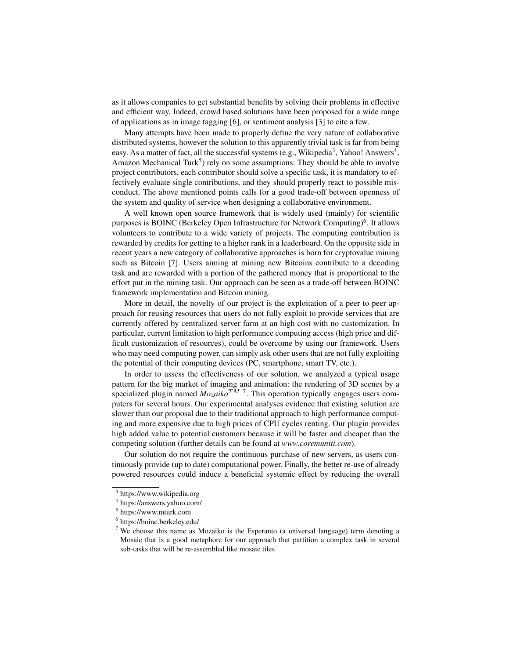as it allows companies to get substantial benefits by solving their problems in effective and efficient way. Indeed, crowd based solutions have been proposed for a wide range of applications as in image tagging [6], or sentiment analysis [3] to cite a few.

Many attempts have been made to properly define the very nature of collaborative distributed systems, however the solution to this apparently trivial task is far from being easy. As a matter of fact, all the successful systems (e.g., Wikipedia $^3$ , Yahoo! Answers $^4$ , Amazon Mechanical Turk<sup>5</sup>) rely on some assumptions: They should be able to involve project contributors, each contributor should solve a specific task, it is mandatory to effectively evaluate single contributions, and they should properly react to possible misconduct. The above mentioned points calls for a good trade-off between openness of the system and quality of service when designing a collaborative environment.

A well known open source framework that is widely used (mainly) for scientific purposes is BOINC (Berkeley Open Infrastructure for Network Computing)<sup>6</sup>. It allows volunteers to contribute to a wide variety of projects. The computing contribution is rewarded by credits for getting to a higher rank in a leaderboard. On the opposite side in recent years a new category of collaborative approaches is born for cryptovalue mining such as Bitcoin [7]. Users aiming at mining new Bitcoins contribute to a decoding task and are rewarded with a portion of the gathered money that is proportional to the effort put in the mining task. Our approach can be seen as a trade-off between BOINC framework implementation and Bitcoin mining.

More in detail, the novelty of our project is the exploitation of a peer to peer approach for reusing resources that users do not fully exploit to provide services that are currently offered by centralized server farm at an high cost with no customization. In particular, current limitation to high performance computing access (high price and difficult customization of resources), could be overcome by using our framework. Users who may need computing power, can simply ask other users that are not fully exploiting the potential of their computing devices (PC, smartphone, smart TV, etc.).

In order to assess the effectiveness of our solution, we analyzed a typical usage pattern for the big market of imaging and animation: the rendering of 3D scenes by a specialized plugin named  $Mozaiko^{TM}$ <sup>7</sup>. This operation typically engages users computers for several hours. Our experimental analyses evidence that existing solution are slower than our proposal due to their traditional approach to high performance computing and more expensive due to high prices of CPU cycles renting. Our plugin provides high added value to potential customers because it will be faster and cheaper than the competing solution (further details can be found at *www.coremuniti.com*).

Our solution do not require the continuous purchase of new servers, as users continuously provide (up to date) computational power. Finally, the better re-use of already powered resources could induce a beneficial systemic effect by reducing the overall

<sup>3</sup> https://www.wikipedia.org

<sup>4</sup> https://answers.yahoo.com/

<sup>5</sup> https://www.mturk.com

<sup>6</sup> https://boinc.berkeley.edu/

 $7$  We choose this name as Mozaiko is the Esperanto (a universal language) term denoting a Mosaic that is a good metaphore for our approach that partition a complex task in several sub-tasks that will be re-assembled like mosaic tiles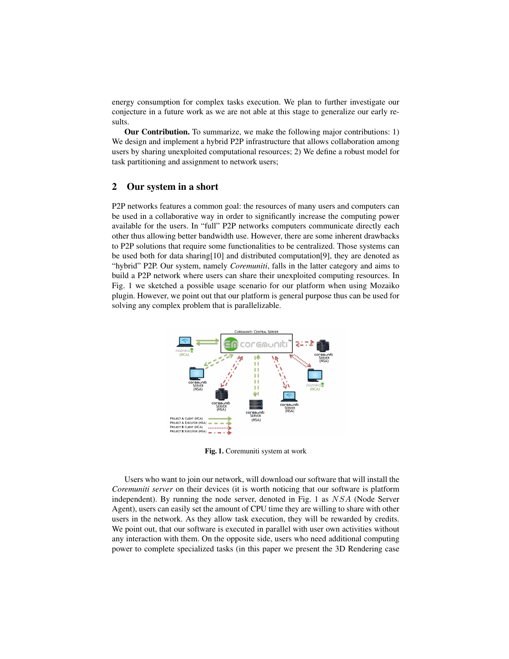energy consumption for complex tasks execution. We plan to further investigate our conjecture in a future work as we are not able at this stage to generalize our early results.

Our Contribution. To summarize, we make the following major contributions: 1) We design and implement a hybrid P2P infrastructure that allows collaboration among users by sharing unexploited computational resources; 2) We define a robust model for task partitioning and assignment to network users;

## 2 Our system in a short

P2P networks features a common goal: the resources of many users and computers can be used in a collaborative way in order to significantly increase the computing power available for the users. In "full" P2P networks computers communicate directly each other thus allowing better bandwidth use. However, there are some inherent drawbacks to P2P solutions that require some functionalities to be centralized. Those systems can be used both for data sharing[10] and distributed computation[9], they are denoted as "hybrid" P2P. Our system, namely *Coremuniti*, falls in the latter category and aims to build a P2P network where users can share their unexploited computing resources. In Fig. 1 we sketched a possible usage scenario for our platform when using Mozaiko plugin. However, we point out that our platform is general purpose thus can be used for solving any complex problem that is parallelizable.



Fig. 1. Coremuniti system at work

Users who want to join our network, will download our software that will install the *Coremuniti server* on their devices (it is worth noticing that our software is platform independent). By running the node server, denoted in Fig. 1 as NSA (Node Server Agent), users can easily set the amount of CPU time they are willing to share with other users in the network. As they allow task execution, they will be rewarded by credits. We point out, that our software is executed in parallel with user own activities without any interaction with them. On the opposite side, users who need additional computing power to complete specialized tasks (in this paper we present the 3D Rendering case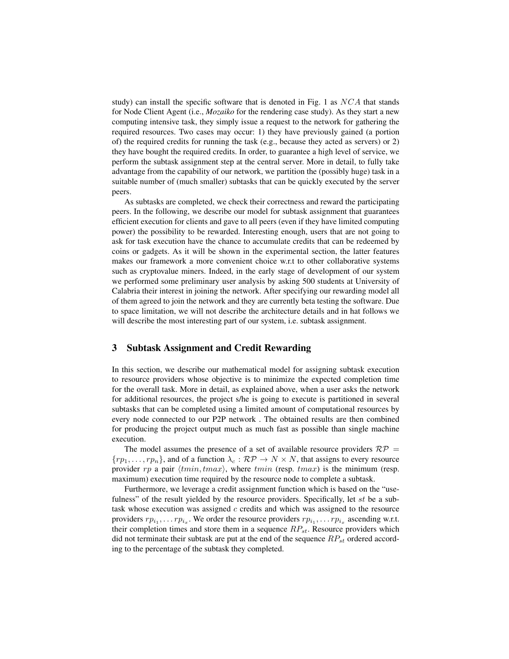study) can install the specific software that is denoted in Fig. 1 as  $NCA$  that stands for Node Client Agent (i.e., *Mozaiko* for the rendering case study). As they start a new computing intensive task, they simply issue a request to the network for gathering the required resources. Two cases may occur: 1) they have previously gained (a portion of) the required credits for running the task (e.g., because they acted as servers) or 2) they have bought the required credits. In order, to guarantee a high level of service, we perform the subtask assignment step at the central server. More in detail, to fully take advantage from the capability of our network, we partition the (possibly huge) task in a suitable number of (much smaller) subtasks that can be quickly executed by the server peers.

As subtasks are completed, we check their correctness and reward the participating peers. In the following, we describe our model for subtask assignment that guarantees efficient execution for clients and gave to all peers (even if they have limited computing power) the possibility to be rewarded. Interesting enough, users that are not going to ask for task execution have the chance to accumulate credits that can be redeemed by coins or gadgets. As it will be shown in the experimental section, the latter features makes our framework a more convenient choice w.r.t to other collaborative systems such as cryptovalue miners. Indeed, in the early stage of development of our system we performed some preliminary user analysis by asking 500 students at University of Calabria their interest in joining the network. After specifying our rewarding model all of them agreed to join the network and they are currently beta testing the software. Due to space limitation, we will not describe the architecture details and in hat follows we will describe the most interesting part of our system, i.e. subtask assignment.

## 3 Subtask Assignment and Credit Rewarding

In this section, we describe our mathematical model for assigning subtask execution to resource providers whose objective is to minimize the expected completion time for the overall task. More in detail, as explained above, when a user asks the network for additional resources, the project s/he is going to execute is partitioned in several subtasks that can be completed using a limited amount of computational resources by every node connected to our P2P network . The obtained results are then combined for producing the project output much as much fast as possible than single machine execution.

The model assumes the presence of a set of available resource providers  $\mathcal{RP} =$  ${r_1,\ldots,r_{p_n}}$ , and of a function  $\lambda_c : \mathcal{RP} \to N \times N$ , that assigns to every resource provider rp a pair  $\langle tmin, tmax \rangle$ , where  $tmin$  (resp.  $tmax$ ) is the minimum (resp. maximum) execution time required by the resource node to complete a subtask.

Furthermore, we leverage a credit assignment function which is based on the "usefulness" of the result yielded by the resource providers. Specifically, let st be a subtask whose execution was assigned  $c$  credits and which was assigned to the resource providers  $rp_{i_1}, \ldots rp_{i_x}$ . We order the resource providers  $rp_{i_1}, \ldots rp_{i_x}$  ascending w.r.t. their completion times and store them in a sequence  $RP_{st}$ . Resource providers which did not terminate their subtask are put at the end of the sequence  $RP_{st}$  ordered according to the percentage of the subtask they completed.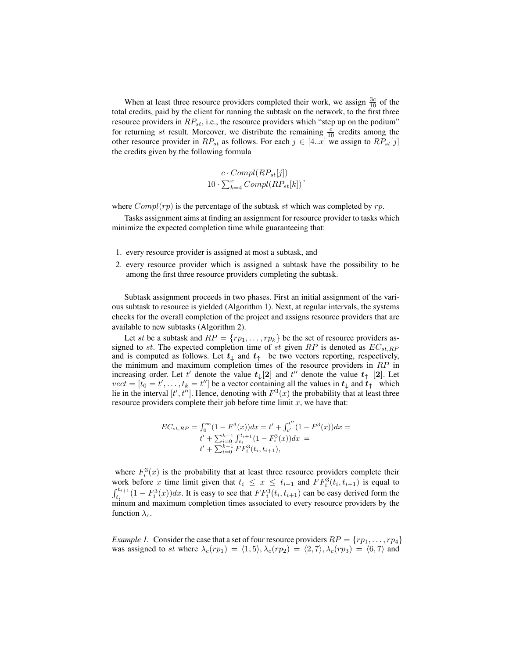When at least three resource providers completed their work, we assign  $\frac{3c}{10}$  of the total credits, paid by the client for running the subtask on the network, to the first three resource providers in  $RP_{st}$ , i.e., the resource providers which "step up on the podium" for returning st result. Moreover, we distribute the remaining  $\frac{c}{10}$  credits among the other resource provider in  $RP_{st}$  as follows. For each  $j \in [4..x]$  we assign to  $RP_{st}[j]$ the credits given by the following formula

$$
\frac{c \cdot Compl(RP_{st}[j])}{10 \cdot \sum_{k=4}^{x} Compl(RP_{st}[k])},
$$

where  $Compl(rp)$  is the percentage of the subtask st which was completed by  $rp$ .

Tasks assignment aims at finding an assignment for resource provider to tasks which minimize the expected completion time while guaranteeing that:

- 1. every resource provider is assigned at most a subtask, and
- 2. every resource provider which is assigned a subtask have the possibility to be among the first three resource providers completing the subtask.

Subtask assignment proceeds in two phases. First an initial assignment of the various subtask to resource is yielded (Algorithm 1). Next, at regular intervals, the systems checks for the overall completion of the project and assigns resource providers that are available to new subtasks (Algorithm 2).

Let st be a subtask and  $RP = \{rp_1, \ldots, rp_k\}$  be the set of resource providers assigned to st. The expected completion time of st given  $RP$  is denoted as  $EC_{st,RP}$ and is computed as follows. Let  $t_{\downarrow}$  and  $t_{\uparrow}$  be two vectors reporting, respectively, the minimum and maximum completion times of the resource providers in RP in increasing order. Let t' denote the value  $t_{\downarrow}[2]$  and t'' denote the value  $t_{\uparrow}$  [2]. Let  $vect = [t_0 = t', \dots, t_k = t'']$  be a vector containing all the values in  $t_{\downarrow}$  and  $t_{\uparrow}$  which lie in the interval  $[t', t'']$ . Hence, denoting with  $F^3(x)$  the probability that at least three resource providers complete their job before time limit  $x$ , we have that:

$$
EC_{st,RP} = \int_0^\infty (1 - F^3(x)) dx = t' + \int_{t'}^{t''} (1 - F^3(x)) dx =
$$
  

$$
t' + \sum_{i=0}^{k-1} \int_{t_i}^{t_{i+1}} (1 - F_i^3(x)) dx =
$$
  

$$
t' + \sum_{i=0}^{k-1} FF_i^3(t_i, t_{i+1}),
$$

where  $F_i^3(x)$  is the probability that at least three resource providers complete their work before x time limit given that  $t_i \leq x \leq t_{i+1}$  and  $FF_i^3(t_i, t_{i+1})$  is equal to  $\int_{t_i}^{t_{i+1}} (1 - F_i^3(x)) dx$ . It is easy to see that  $FF_i^3(t_i, t_{i+1})$  can be easy derived form the minum and maximum completion times associated to every resource providers by the function  $\lambda_c$ .

*Example 1.* Consider the case that a set of four resource providers  $RP = \{rp_1, \ldots, rp_4\}$ was assigned to st where  $\lambda_c(rp_1) = \langle 1, 5 \rangle, \lambda_c(rp_2) = \langle 2, 7 \rangle, \lambda_c(rp_3) = \langle 6, 7 \rangle$  and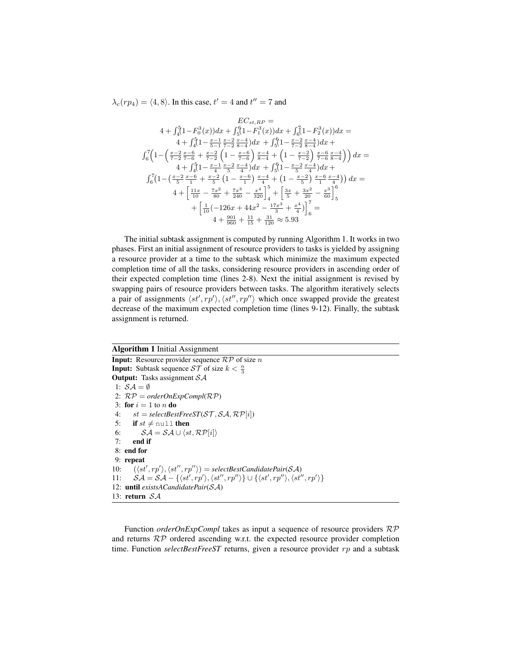$\lambda_c(r p_4) = \langle 4, 8 \rangle$ . In this case,  $t' = 4$  and  $t'' = 7$  and

$$
EC_{st,RP} =
$$
\n
$$
4 + \int_{4}^{5} (1 - F_{0}^{3}(x)) dx + \int_{5}^{6} (1 - F_{1}^{3}(x)) dx + \int_{6}^{7} (1 - F_{2}^{3}(x)) dx =
$$
\n
$$
4 + \int_{4}^{5} (1 - \frac{x-1}{5-1} \frac{x-2}{7-2} \frac{x-4}{8-4}) dx + \int_{5}^{6} (1 - \frac{x-2}{7-2} \frac{x-4}{8-4}) dx +
$$
\n
$$
\int_{6}^{7} \left( 1 - \left( \frac{x-2}{7-2} \frac{x-6}{7-6} + \frac{x-2}{7-2} \right) \left( 1 - \frac{x-6}{7-2} \right) \frac{x-4}{8-4} + \left( 1 - \frac{x-2}{7-2} \right) \frac{x-6}{7-6} \frac{x-4}{8-4} \right) \right) dx =
$$
\n
$$
4 + \int_{4}^{5} (1 - \frac{x-1}{4} \frac{x-2}{5} \frac{x-6}{4}) dx + \int_{5}^{6} (1 - \frac{x-2}{5} \frac{x-4}{4}) dx +
$$
\n
$$
\int_{6}^{7} \left( 1 - \left( \frac{x-2}{5} \frac{x-6}{1} + \frac{x-2}{5} \right) \left( 1 - \frac{x-6}{1} \right) \frac{x-4}{4} + \left( 1 - \frac{x-2}{5} \right) \frac{x-6}{1} \frac{x-4}{4} \right) \right) dx =
$$
\n
$$
4 + \left[ \frac{11x}{10} - \frac{7x^2}{80} + \frac{7x^3}{240} - \frac{x^4}{320} \right]_{4}^{5} + \left[ \frac{3x}{5} + \frac{3x^2}{20} - \frac{x^3}{60} \right]_{5}^{6}
$$
\n
$$
+ \left[ \frac{1}{10} (-126x + 44x^2 - \frac{17x^3}{3} + \frac{x^4}{4}) \right]_{6}^{7} =
$$
\n
$$
4 + \frac{990}{960} + \frac{11}{15} + \frac{31}{120} \approx 5.93
$$

The initial subtask assignment is computed by running Algorithm 1. It works in two phases. First an initial assignment of resource providers to tasks is yielded by assigning a resource provider at a time to the subtask which minimize the maximum expected completion time of all the tasks, considering resource providers in ascending order of their expected completion time (lines 2-8). Next the initial assignment is revised by swapping pairs of resource providers between tasks. The algorithm iteratively selects a pair of assignments  $\langle st', rp' \rangle$ ,  $\langle st'', rp'' \rangle$  which once swapped provide the greatest decrease of the maximum expected completion time (lines 9-12). Finally, the subtask assignment is returned.

#### Algorithm 1 Initial Assignment

**Input:** Resource provider sequence  $\mathcal{RP}$  of size n **Input:** Subtask sequence  $ST$  of size  $k < \frac{n}{3}$ **Output:** Tasks assignment  $SA$ 1:  $S\mathcal{A} = \emptyset$ 2: RP = *orderOnExpCompl*(RP) 3: for  $i = 1$  to n do 4:  $st = selectBestFreeST(\mathcal{ST}, \mathcal{SA}, \mathcal{RP}[i])$ 5: if  $st \neq \text{null}$  then 6:  $\mathcal{SA} = \mathcal{SA} \cup \langle st, \mathcal{RP}[i] \rangle$ 7: end if 8: end for 9: repeat 10:  $(\langle st', rp' \rangle, \langle st'', rp'' \rangle) = selectBestCandidatePair(SA)$ 11:  $SA = SA - \{\langle st', rp' \rangle, \langle st'', rp'' \rangle\} \cup \{\langle st', rp'' \rangle, \langle st'', rp' \rangle\}$ 12: until *existsACandidatePair*(SA) 13: return SA

Function *orderOnExpCompl* takes as input a sequence of resource providers RP and returns RP ordered ascending w.r.t. the expected resource provider completion time. Function *selectBestFreeST* returns, given a resource provider rp and a subtask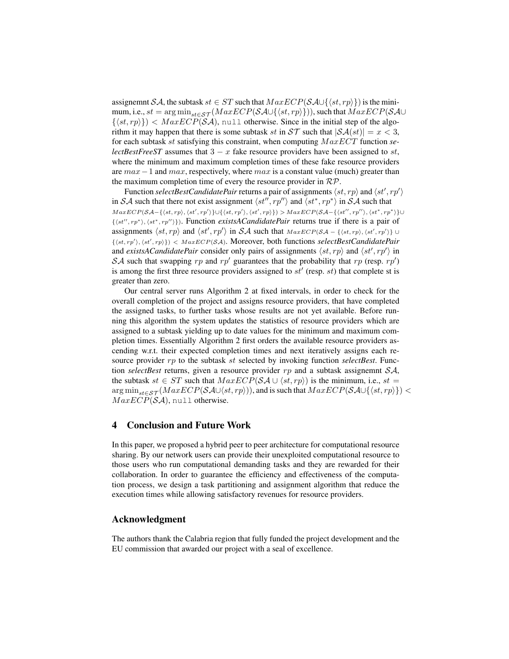assignemnt SA, the subtask  $st \in ST$  such that  $MaxECP(SAU\langle st, rp \rangle)$  is the minimum, i.e.,  $st = \arg \min_{st \in \mathcal{ST}} (MaxECP(SA \cup \{ \langle st, rp \rangle \})),$  such that  $MaxECP(SA \cup$  $\{\langle st, rp \rangle\}$  <  $MaxECP(SA)$ , null otherwise. Since in the initial step of the algorithm it may happen that there is some subtask st in  $ST$  such that  $|\mathcal{SA}(st)| = x < 3$ , for each subtask st satisfying this constraint, when computing M axECT function *selectBestFreeST* assumes that  $3 - x$  fake resource providers have been assigned to st, where the minimum and maximum completion times of these fake resource providers are  $max-1$  and  $max$ , respectively, where  $max$  is a constant value (much) greater than the maximum completion time of every the resource provider in  $\mathcal{RP}$ .

Function *selectBestCandidatePair* returns a pair of assignments  $\langle st, rp \rangle$  and  $\langle st', rp' \rangle$ in SA such that there not exist assignment  $\langle st'', rp'' \rangle$  and  $\langle st^*, rp^* \rangle$  in SA such that  $MaxECP(SA - \{\langle st, rp \rangle, \langle st', rp' \rangle\} \cup \{\langle st, rp' \rangle, \langle st', rp \rangle\}) > MaxECP(SA - \{\langle st'', rp'' \rangle, \langle st^*, rp^* \rangle\} \cup \{st, rp'' \}$ {\st'', rp<sup>∗</sup>), \st<sup>\*</sup>, rp'')}). Function *existsACandidatePair* returns true if there is a pair of assignments  $\langle st, rp \rangle$  and  $\langle st', rp' \rangle$  in SA such that  $MaxECP(SA - \{\langle st, rp \rangle, \langle st', rp' \rangle\} \cup$  $\{\langle st, rp' \rangle, \langle st', rp \rangle\}$  < MaxECP(SA). Moreover, both functions selectBestCandidatePair and *existsACandidatePair* consider only pairs of assignments  $\langle st, rp \rangle$  and  $\langle st', rp' \rangle$  in SA such that swapping rp and rp' guarantees that the probability that rp (resp. rp') is among the first three resource providers assigned to  $st'$  (resp.  $st$ ) that complete st is greater than zero.

Our central server runs Algorithm 2 at fixed intervals, in order to check for the overall completion of the project and assigns resource providers, that have completed the assigned tasks, to further tasks whose results are not yet available. Before running this algorithm the system updates the statistics of resource providers which are assigned to a subtask yielding up to date values for the minimum and maximum completion times. Essentially Algorithm 2 first orders the available resource providers ascending w.r.t. their expected completion times and next iteratively assigns each resource provider rp to the subtask st selected by invoking function *selectBest*. Function *selectBest* returns, given a resource provider rp and a subtask assignemnt SA, the subtask  $st \in ST$  such that  $MaxECP(SA \cup \langle st, rp \rangle)$  is the minimum, i.e.,  $st =$  $\arg \min_{st \in \mathcal{ST}} \left( MaxECP(\mathcal{S}\mathcal{A}\cup \langle st, rp \rangle) \right)$ , and is such that  $MaxECP(\mathcal{S}\mathcal{A}\cup \langle st, rp \rangle)$  <  $MaxECP(SA)$ , null otherwise.

## 4 Conclusion and Future Work

In this paper, we proposed a hybrid peer to peer architecture for computational resource sharing. By our network users can provide their unexploited computational resource to those users who run computational demanding tasks and they are rewarded for their collaboration. In order to guarantee the efficiency and effectiveness of the computation process, we design a task partitioning and assignment algorithm that reduce the execution times while allowing satisfactory revenues for resource providers.

### Acknowledgment

The authors thank the Calabria region that fully funded the project development and the EU commission that awarded our project with a seal of excellence.